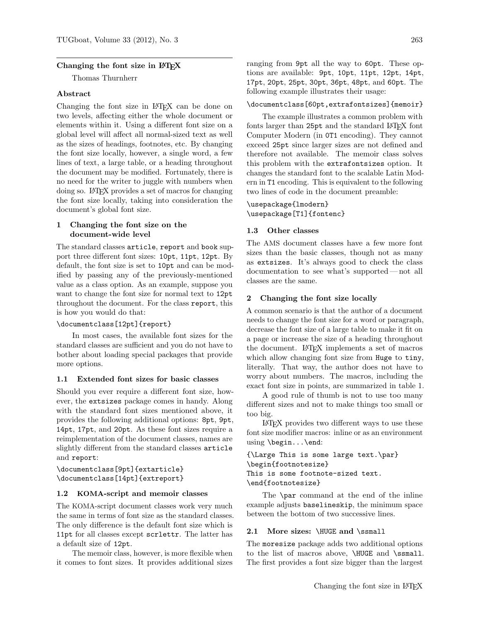## Changing the font size in LAT<sub>EX</sub>

Thomas Thurnherr

# Abstract

Changing the font size in LATEX can be done on two levels, affecting either the whole document or elements within it. Using a different font size on a global level will affect all normal-sized text as well as the sizes of headings, footnotes, etc. By changing the font size locally, however, a single word, a few lines of text, a large table, or a heading throughout the document may be modified. Fortunately, there is no need for the writer to juggle with numbers when doing so. LATEX provides a set of macros for changing the font size locally, taking into consideration the document's global font size.

# 1 Changing the font size on the document-wide level

The standard classes article, report and book support three different font sizes: 10pt, 11pt, 12pt. By default, the font size is set to 10pt and can be modified by passing any of the previously-mentioned value as a class option. As an example, suppose you want to change the font size for normal text to 12pt throughout the document. For the class report, this is how you would do that:

#### \documentclass[12pt]{report}

In most cases, the available font sizes for the standard classes are sufficient and you do not have to bother about loading special packages that provide more options.

# 1.1 Extended font sizes for basic classes

Should you ever require a different font size, however, the extsizes package comes in handy. Along with the standard font sizes mentioned above, it provides the following additional options: 8pt, 9pt, 14pt, 17pt, and 20pt. As these font sizes require a reimplementation of the document classes, names are slightly different from the standard classes article and report:

\documentclass[9pt]{extarticle} \documentclass[14pt]{extreport}

# 1.2 KOMA-script and memoir classes

The KOMA-script document classes work very much the same in terms of font size as the standard classes. The only difference is the default font size which is 11pt for all classes except scrlettr. The latter has a default size of 12pt.

The memoir class, however, is more flexible when it comes to font sizes. It provides additional sizes ranging from 9pt all the way to 60pt. These options are available: 9pt, 10pt, 11pt, 12pt, 14pt, 17pt, 20pt, 25pt, 30pt, 36pt, 48pt, and 60pt. The following example illustrates their usage:

\documentclass[60pt,extrafontsizes]{memoir}

The example illustrates a common problem with fonts larger than 25pt and the standard LAT<sub>EX</sub> font Computer Modern (in 0T1 encoding). They cannot exceed 25pt since larger sizes are not defined and therefore not available. The memoir class solves this problem with the extrafontsizes option. It changes the standard font to the scalable Latin Modern in T1 encoding. This is equivalent to the following two lines of code in the document preamble:

# \usepackage{lmodern} \usepackage[T1]{fontenc}

#### 1.3 Other classes

The AMS document classes have a few more font sizes than the basic classes, though not as many as extsizes. It's always good to check the class documentation to see what's supported— not all classes are the same.

# 2 Changing the font size locally

A common scenario is that the author of a document needs to change the font size for a word or paragraph, decrease the font size of a large table to make it fit on a page or increase the size of a heading throughout the document. LATEX implements a set of macros which allow changing font size from Huge to tiny, literally. That way, the author does not have to worry about numbers. The macros, including the exact font size in points, are summarized in table 1.

A good rule of thumb is not to use too many different sizes and not to make things too small or too big.

LATEX provides two different ways to use these font size modifier macros: inline or as an environment using \begin...\end:

```
{\Large This is some large text.\par}
\begin{footnotesize}
This is some footnote-sized text.
\end{footnotesize}
```
The \par command at the end of the inline example adjusts baselineskip, the minimum space between the bottom of two successive lines.

# 2.1 More sizes: \HUGE and \ssmall

The moresize package adds two additional options to the list of macros above, \HUGE and \ssmall. The first provides a font size bigger than the largest